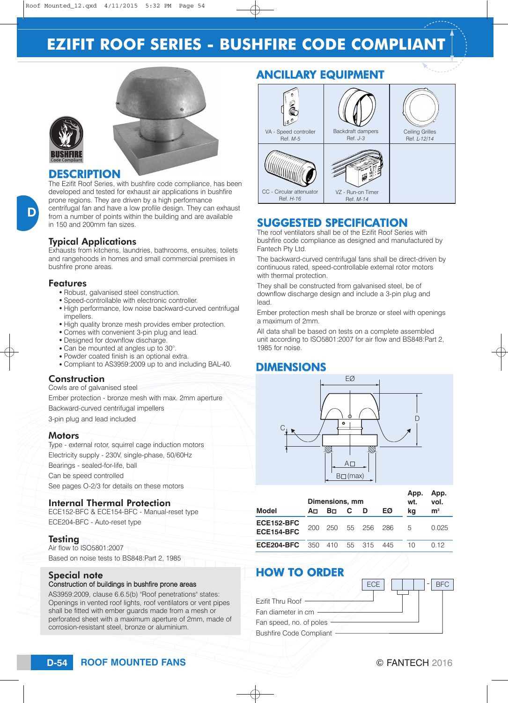# **EZIFIT ROOF SERIES - BUSHFIRE CODE COMPLIANT**





# **DESCRIPTION**

The Ezifit Roof Series, with bushfire code compliance, has been developed and tested for exhaust air applications in bushfire prone regions. They are driven by a high performance centrifugal fan and have a low profile design. They can exhaust from a number of points within the building and are available in 150 and 200mm fan sizes.

### Typical Applications

Exhausts from kitchens, laundries, bathrooms, ensuites, toilets and rangehoods in homes and small commercial premises in bushfire prone areas.

### Features

- Robust, galvanised steel construction.
- Speed-controllable with electronic controller.
- High performance, low noise backward-curved centrifugal impellers.
- High quality bronze mesh provides ember protection.
- Comes with convenient 3-pin plug and lead.
- Designed for downflow discharge.
- Can be mounted at angles up to 30°.
- Powder coated finish is an optional extra.
- Compliant to AS3959:2009 up to and including BAL-40.

### **Construction**

Cowls are of galvanised steel

Ember protection - bronze mesh with max. 2mm aperture

Backward-curved centrifugal impellers

3-pin plug and lead included

### **Motors**

Type - external rotor, squirrel cage induction motors Electricity supply - 230V, single-phase, 50/60Hz Bearings - sealed-for-life, ball Can be speed controlled See pages O-2/3 for details on these motors

### Internal Thermal Protection

| ECE152-BFC & ECE154-BFC - Manual-reset type |  |
|---------------------------------------------|--|
| ECE204-BFC - Auto-reset type                |  |

### Testing

Air flow to ISO5801:2007 Based on noise tests to BS848:Part 2, 1985

#### Special note Construction of buildings in bushfire prone areas

AS3959:2009, clause 6.6.5(b) "Roof penetrations" states: Openings in vented roof lights, roof ventilators or vent pipes shall be fitted with ember guards made from a mesh or perforated sheet with a maximum aperture of 2mm, made of corrosion-resistant steel, bronze or aluminium.

## ANCILLARY EQUIPMENT



# SUGGESTED SPECIFICATION

The roof ventilators shall be of the Ezifit Roof Series with bushfire code compliance as designed and manufactured by Fantech Pty Ltd.

The backward-curved centrifugal fans shall be direct-driven by continuous rated, speed-controllable external rotor motors with thermal protection.

They shall be constructed from galvanised steel, be of downflow discharge design and include a 3-pin plug and lead.

Ember protection mesh shall be bronze or steel with openings a maximum of 2mm.

All data shall be based on tests on a complete assembled unit according to ISO5801:2007 for air flow and BS848:Part 2, 1985 for noise.

## DIMENSIONS



| <b>Model</b><br><b>Bo</b><br>m <sup>3</sup><br>С<br>EØ<br>Aп<br>D<br>kg<br>ECE152-BFC<br>200<br>250<br>55<br>256<br>286<br>5<br>ECE154-BFC<br>ECE204-BFC<br>350<br>10<br>410<br>55<br>315<br>445<br><b>HOW TO ORDER</b><br>ECE<br>Ezifit Thru Roof<br>Fan diameter in cm<br>Fan speed, no. of poles |  | Dimensions, mm |  | App.<br>wt. | App.<br>vol. |
|-----------------------------------------------------------------------------------------------------------------------------------------------------------------------------------------------------------------------------------------------------------------------------------------------------|--|----------------|--|-------------|--------------|
|                                                                                                                                                                                                                                                                                                     |  |                |  |             |              |
|                                                                                                                                                                                                                                                                                                     |  |                |  |             | 0.025        |
|                                                                                                                                                                                                                                                                                                     |  |                |  |             | 0.12         |
| <b>Bushfire Code Compliant</b>                                                                                                                                                                                                                                                                      |  |                |  |             | <b>BFC</b>   |

# HOW TO ORDER